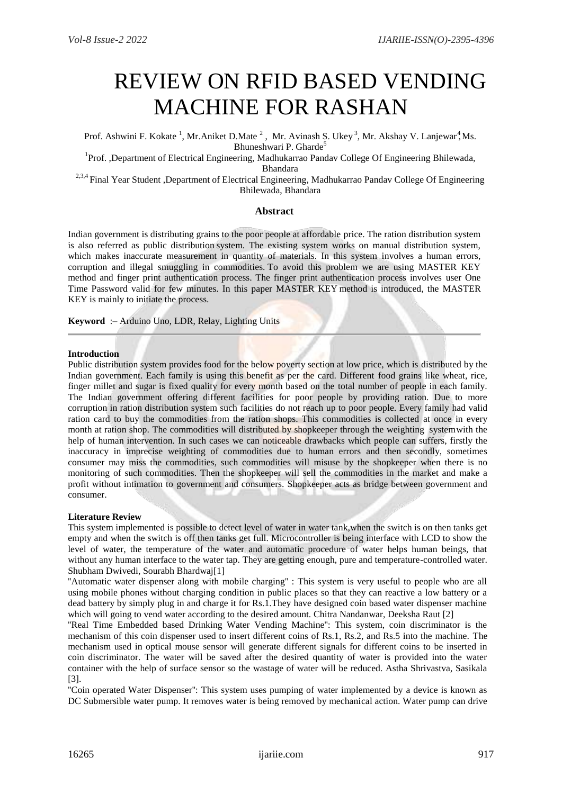# REVIEW ON RFID BASED VENDING MACHINE FOR RASHAN

Prof. Ashwini F. Kokate<sup>1</sup>, Mr.Aniket D.Mate<sup>2</sup>, Mr. Avinash S. Ukey<sup>3</sup>, Mr. Akshay V. Lanjewar<sup>4</sup>, Ms. Bhuneshwari P. Gharde<sup>5</sup>

<sup>1</sup>Prof. ,Department of Electrical Engineering, Madhukarrao Pandav College Of Engineering Bhilewada, Bhandara

<sup>2,3,4</sup> Final Year Student ,Department of Electrical Engineering, Madhukarrao Pandav College Of Engineering Bhilewada, Bhandara

## **Abstract**

Indian government is distributing grains to the poor people at affordable price. The ration distribution system is also referred as public distribution system. The existing system works on manual distribution system, which makes inaccurate measurement in quantity of materials. In this system involves a human errors, corruption and illegal smuggling in commodities. To avoid this problem we are using MASTER KEY method and finger print authentication process. The finger print authentication process involves user One Time Password valid for few minutes. In this paper MASTER KEY method is introduced, the MASTER KEY is mainly to initiate the process.

**Keyword** :– Arduino Uno, LDR, Relay, Lighting Units

## **Introduction**

Public distribution system provides food for the below poverty section at low price, which is distributed by the Indian government. Each family is using this benefit as per the card. Different food grains like wheat, rice, finger millet and sugar is fixed quality for every month based on the total number of people in each family. The Indian government offering different facilities for poor people by providing ration. Due to more corruption in ration distribution system such facilities do not reach up to poor people. Every family had valid ration card to buy the commodities from the ration shops. This commodities is collected at once in every month at ration shop. The commodities will distributed by shopkeeper through the weighting systemwith the help of human intervention. In such cases we can noticeable drawbacks which people can suffers, firstly the inaccuracy in imprecise weighting of commodities due to human errors and then secondly, sometimes consumer may miss the commodities, such commodities will misuse by the shopkeeper when there is no monitoring of such commodities. Then the shopkeeper will sell the commodities in the market and make a profit without intimation to government and consumers. Shopkeeper acts as bridge between government and consumer.

#### **Literature Review**

This system implemented is possible to detect level of water in water tank,when the switch is on then tanks get empty and when the switch is off then tanks get full. Microcontroller is being interface with LCD to show the level of water, the temperature of the water and automatic procedure of water helps human beings, that without any human interface to the water tap. They are getting enough, pure and temperature-controlled water. Shubham Dwivedi, Sourabh Bhardwaj[1]

"Automatic water dispenser along with mobile charging" : This system is very useful to people who are all using mobile phones without charging condition in public places so that they can reactive a low battery or a dead battery by simply plug in and charge it for Rs.1.They have designed coin based water dispenser machine which will going to vend water according to the desired amount. Chitra Nandanwar, Deeksha Raut [2]

''Real Time Embedded based Drinking Water Vending Machine'': This system, coin discriminator is the mechanism of this coin dispenser used to insert different coins of Rs.1, Rs.2, and Rs.5 into the machine. The mechanism used in optical mouse sensor will generate different signals for different coins to be inserted in coin discriminator. The water will be saved after the desired quantity of water is provided into the water container with the help of surface sensor so the wastage of water will be reduced. Astha Shrivastva, Sasikala [3].

''Coin operated Water Dispenser'': This system uses pumping of water implemented by a device is known as DC Submersible water pump. It removes water is being removed by mechanical action. Water pump can drive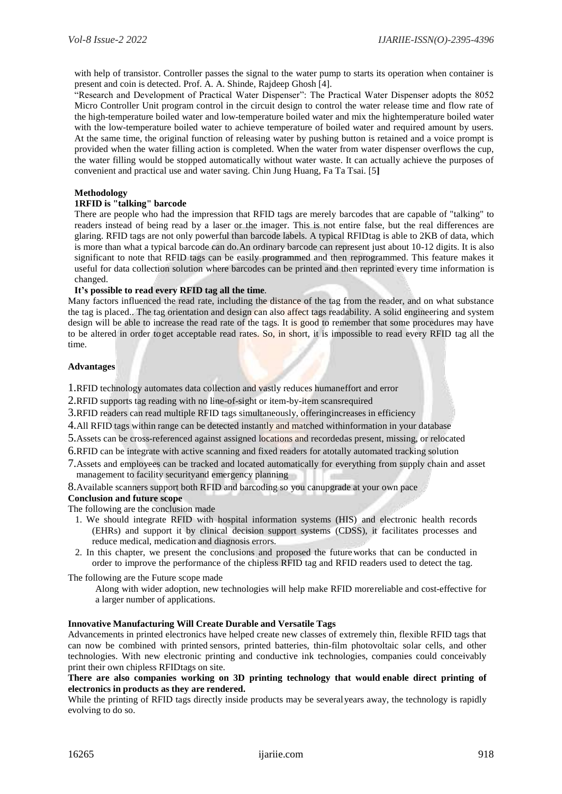with help of transistor. Controller passes the signal to the water pump to starts its operation when container is present and coin is detected. Prof. A. A. Shinde, Rajdeep Ghosh [4].

"Research and Development of Practical Water Dispenser": The Practical Water Dispenser adopts the 8052 Micro Controller Unit program control in the circuit design to control the water release time and flow rate of the high-temperature boiled water and low-temperature boiled water and mix the hightemperature boiled water with the low-temperature boiled water to achieve temperature of boiled water and required amount by users. At the same time, the original function of releasing water by pushing button is retained and a voice prompt is provided when the water filling action is completed. When the water from water dispenser overflows the cup, the water filling would be stopped automatically without water waste. It can actually achieve the purposes of convenient and practical use and water saving. Chin Jung Huang, Fa Ta Tsai. [5**]**

# **Methodology**

# **1RFID is "talking" barcode**

There are people who had the impression that RFID tags are merely barcodes that are capable of "talking" to readers instead of being read by a laser or the imager. This is not entire false, but the real differences are glaring. RFID tags are not only powerful than barcode labels. A typical RFIDtag is able to 2KB of data, which is more than what a typical barcode can do.An ordinary barcode can represent just about 10-12 digits. It is also significant to note that RFID tags can be easily programmed and then reprogrammed. This feature makes it useful for data collection solution where barcodes can be printed and then reprinted every time information is changed.

## **It's possible to read every RFID tag all the time**.

Many factors influenced the read rate, including the distance of the tag from the reader, and on what substance the tag is placed.. The tag orientation and design can also affect tags readability. A solid engineering and system design will be able to increase the read rate of the tags. It is good to remember that some procedures may have to be altered in order toget acceptable read rates. So, in short, it is impossible to read every RFID tag all the time.

# **Advantages**

1.RFID technology automates data collection and vastly reduces humaneffort and error

2.RFID supports tag reading with no line-of-sight or item-by-item scansrequired

3.RFID readers can read multiple RFID tags simultaneously, offeringincreases in efficiency

4.All RFID tags within range can be detected instantly and matched withinformation in your database

5.Assets can be cross-referenced against assigned locations and recordedas present, missing, or relocated

6.RFID can be integrate with active scanning and fixed readers for atotally automated tracking solution

7.Assets and employees can be tracked and located automatically for everything from supply chain and asset management to facility securityand emergency planning

8.Available scanners support both RFID and barcoding so you canupgrade at your own pace

# **Conclusion and future scope**

The following are the conclusion made

- 1. We should integrate RFID with hospital information systems (HIS) and electronic health records (EHRs) and support it by clinical decision support systems (CDSS), it facilitates processes and reduce medical, medication and diagnosis errors.
- 2. In this chapter, we present the conclusions and proposed the futureworks that can be conducted in order to improve the performance of the chipless RFID tag and RFID readers used to detect the tag.

The following are the Future scope made

Along with wider adoption, new technologies will help make RFID morereliable and cost-effective for a larger number of applications.

## **Innovative Manufacturing Will Create Durable and Versatile Tags**

Advancements in printed electronics have helped create new classes of extremely thin, flexible RFID tags that can now be combined with printed sensors, printed batteries, thin-film photovoltaic solar cells, and other technologies. With new electronic printing and conductive ink technologies, companies could conceivably print their own chipless RFIDtags on site.

# **There are also companies working on 3D printing technology that would enable direct printing of electronics in products as they are rendered.**

While the printing of RFID tags directly inside products may be several years away, the technology is rapidly evolving to do so.